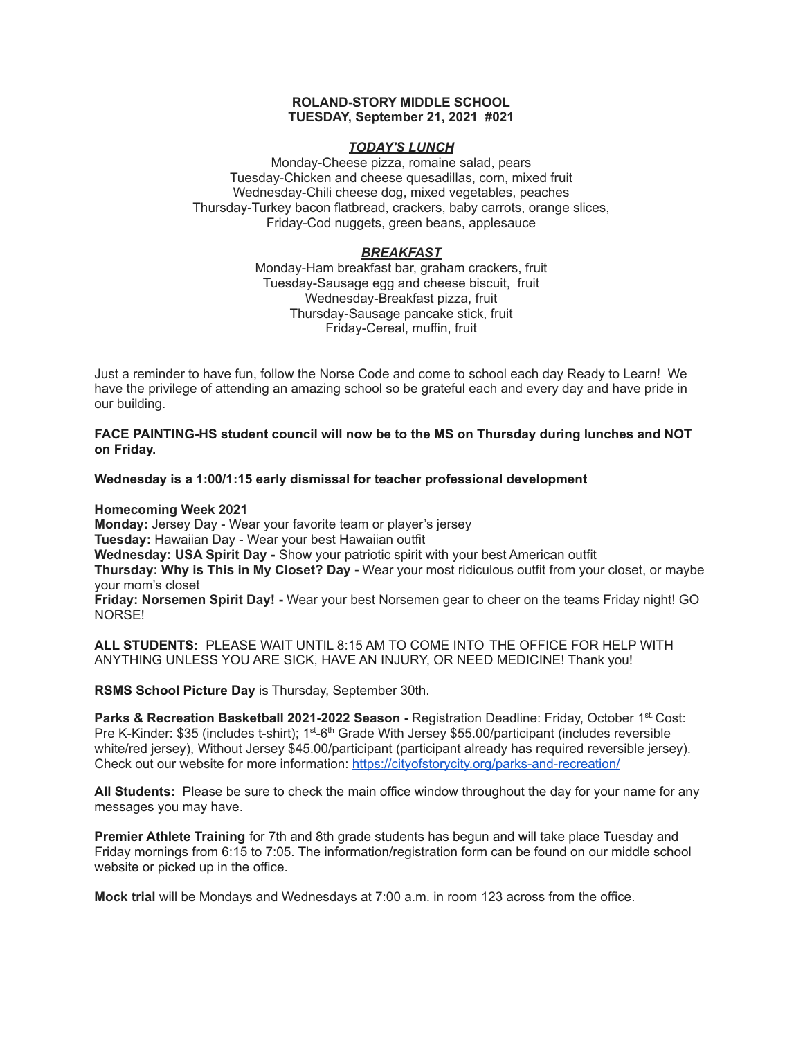### **ROLAND-STORY MIDDLE SCHOOL TUESDAY, September 21, 2021 #021**

## *TODAY'S LUNCH*

Monday-Cheese pizza, romaine salad, pears Tuesday-Chicken and cheese quesadillas, corn, mixed fruit Wednesday-Chili cheese dog, mixed vegetables, peaches Thursday-Turkey bacon flatbread, crackers, baby carrots, orange slices, Friday-Cod nuggets, green beans, applesauce

# *BREAKFAST*

Monday-Ham breakfast bar, graham crackers, fruit Tuesday-Sausage egg and cheese biscuit, fruit Wednesday-Breakfast pizza, fruit Thursday-Sausage pancake stick, fruit Friday-Cereal, muffin, fruit

Just a reminder to have fun, follow the Norse Code and come to school each day Ready to Learn! We have the privilege of attending an amazing school so be grateful each and every day and have pride in our building.

**FACE PAINTING-HS student council will now be to the MS on Thursday during lunches and NOT on Friday.**

**Wednesday is a 1:00/1:15 early dismissal for teacher professional development**

**Homecoming Week 2021**

**Monday:** Jersey Day - Wear your favorite team or player's jersey **Tuesday:** Hawaiian Day - Wear your best Hawaiian outfit **Wednesday: USA Spirit Day -** Show your patriotic spirit with your best American outfit

**Thursday: Why is This in My Closet? Day -** Wear your most ridiculous outfit from your closet, or maybe your mom's closet

**Friday: Norsemen Spirit Day! -** Wear your best Norsemen gear to cheer on the teams Friday night! GO NORSE!

**ALL STUDENTS:** PLEASE WAIT UNTIL 8:15 AM TO COME INTO THE OFFICE FOR HELP WITH ANYTHING UNLESS YOU ARE SICK, HAVE AN INJURY, OR NEED MEDICINE! Thank you!

**RSMS School Picture Day** is Thursday, September 30th.

**Parks & Recreation Basketball 2021-2022 Season -** Registration Deadline: Friday, October 1 st. Cost: Pre K-Kinder: \$35 (includes t-shirt); 1<sup>st</sup>-6<sup>th</sup> Grade With Jersey \$55.00/participant (includes reversible white/red jersey), Without Jersey \$45.00/participant (participant already has required reversible jersey). Check out our website for more information: <https://cityofstorycity.org/parks-and-recreation/>

**All Students:** Please be sure to check the main office window throughout the day for your name for any messages you may have.

**Premier Athlete Training** for 7th and 8th grade students has begun and will take place Tuesday and Friday mornings from 6:15 to 7:05. The information/registration form can be found on our middle school website or picked up in the office.

**Mock trial** will be Mondays and Wednesdays at 7:00 a.m. in room 123 across from the office.